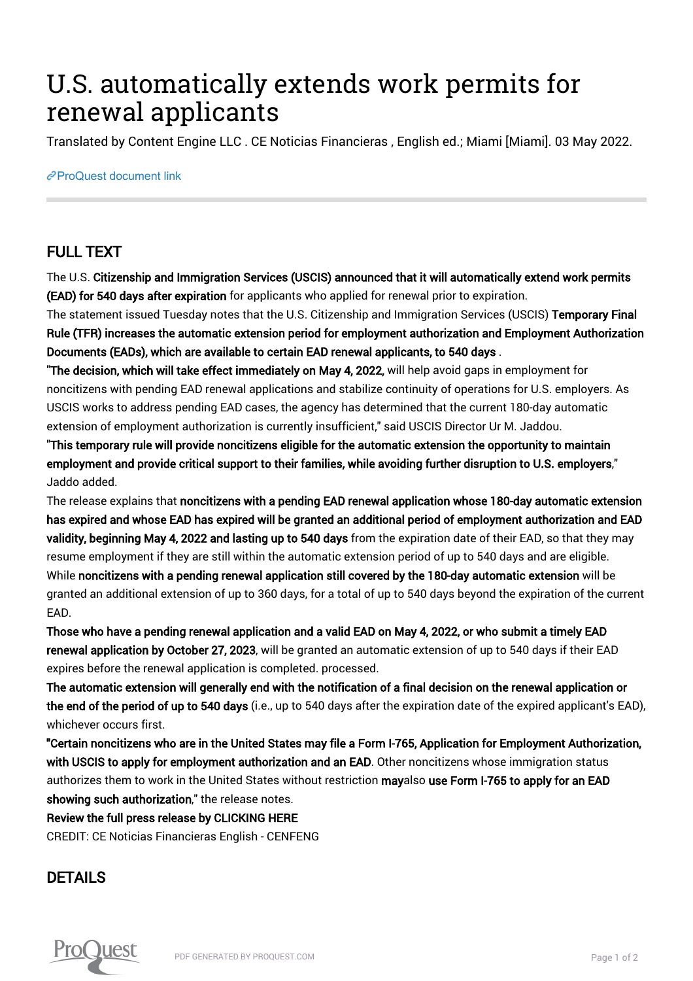## U.S. automatically extends work permits for renewal applicants

Translated by Content Engine LLC . CE Noticias Financieras , English ed.; Miami [Miami]. 03 May 2022.

[ProQuest document link](https://www.proquest.com/wire-feeds/u-s-automatically-extends-work-permits-renewal/docview/2659619713/se-2?accountid=44910)

## FULL TEXT

The U.S. Citizenship and Immigration Services (USCIS) announced that it will automatically extend work permits (EAD) for 540 days after expiration for applicants who applied for renewal prior to expiration.

The statement issued Tuesday notes that the U.S. Citizenship and Immigration Services (USCIS) Temporary Final Rule (TFR) increases the automatic extension period for employment authorization and Employment Authorization Documents (EADs), which are available to certain EAD renewal applicants, to 540 days .

"The decision, which will take effect immediately on May 4, 2022, will help avoid gaps in employment for noncitizens with pending EAD renewal applications and stabilize continuity of operations for U.S. employers. As USCIS works to address pending EAD cases, the agency has determined that the current 180-day automatic extension of employment authorization is currently insufficient," said USCIS Director Ur M. Jaddou.

"This temporary rule will provide noncitizens eligible for the automatic extension the opportunity to maintain employment and provide critical support to their families, while avoiding further disruption to U.S. employers," Jaddo added.

The release explains that noncitizens with a pending EAD renewal application whose 180-day automatic extension has expired and whose EAD has expired will be granted an additional period of employment authorization and EAD validity, beginning May 4, 2022 and lasting up to 540 days from the expiration date of their EAD, so that they may resume employment if they are still within the automatic extension period of up to 540 days and are eligible. While noncitizens with a pending renewal application still covered by the 180-day automatic extension will be granted an additional extension of up to 360 days, for a total of up to 540 days beyond the expiration of the current EAD.

Those who have a pending renewal application and a valid EAD on May 4, 2022, or who submit a timely EAD renewal application by October 27, 2023, will be granted an automatic extension of up to 540 days if their EAD expires before the renewal application is completed. processed.

The automatic extension will generally end with the notification of a final decision on the renewal application or the end of the period of up to 540 days (i.e., up to 540 days after the expiration date of the expired applicant's EAD), whichever occurs first.

"Certain noncitizens who are in the United States may file a Form I-765, Application for Employment Authorization, with USCIS to apply for employment authorization and an EAD. Other noncitizens whose immigration status authorizes them to work in the United States without restriction mayalso use Form I-765 to apply for an EAD showing such authorization," the release notes.

Review the full press release by CLICKING HERE

CREDIT: CE Noticias Financieras English - CENFENG

## DETAILS